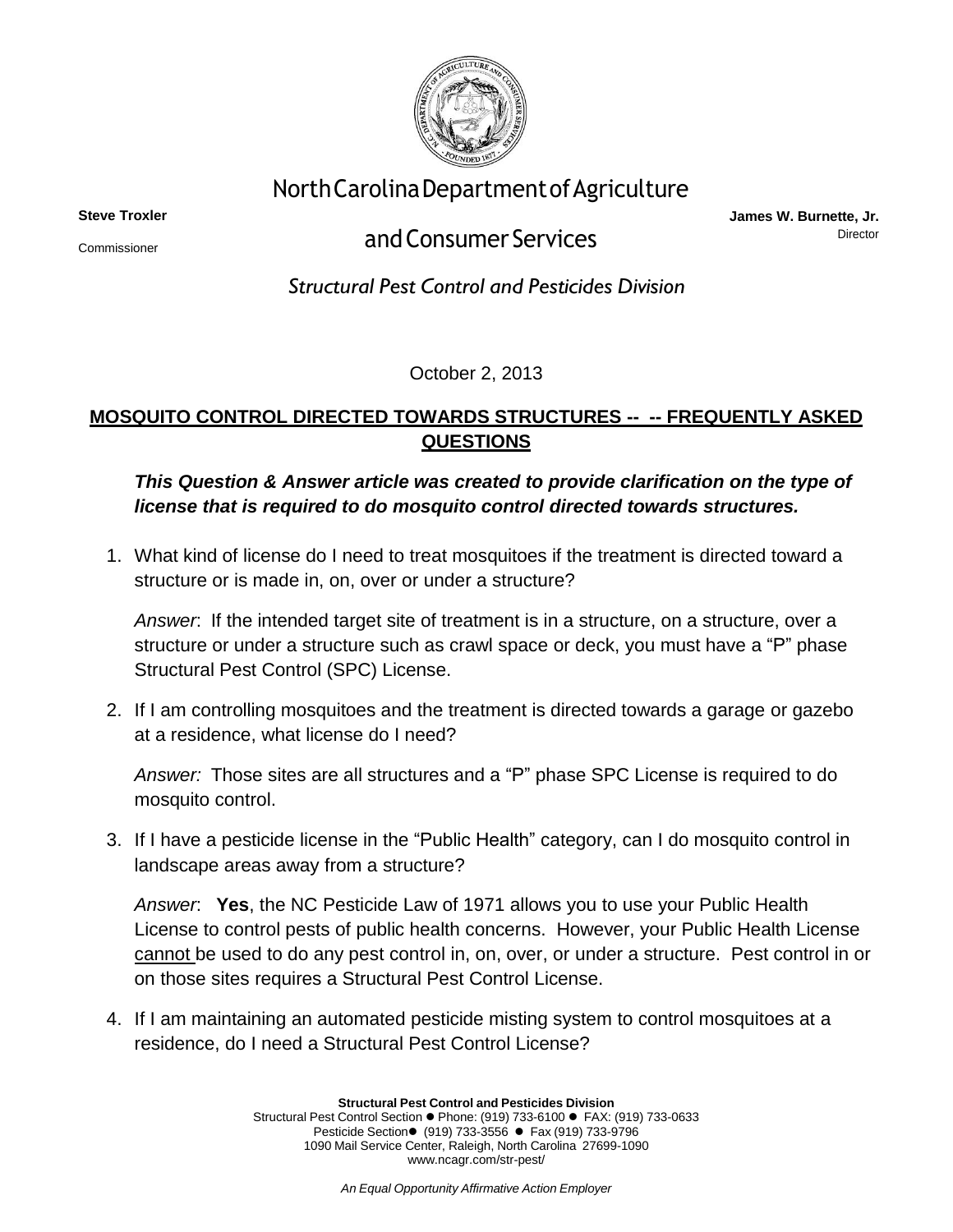

## NorthCarolinaDepartmentofAgriculture

**Steve Troxler** Commissioner

## andConsumer Services

**James W. Burnette, Jr.** Director

*Structural Pest Control and Pesticides Division*

October 2, 2013

## **MOSQUITO CONTROL DIRECTED TOWARDS STRUCTURES -- -- FREQUENTLY ASKED QUESTIONS**

## *This Question & Answer article was created to provide clarification on the type of license that is required to do mosquito control directed towards structures.*

1. What kind of license do I need to treat mosquitoes if the treatment is directed toward a structure or is made in, on, over or under a structure?

*Answer*: If the intended target site of treatment is in a structure, on a structure, over a structure or under a structure such as crawl space or deck, you must have a "P" phase Structural Pest Control (SPC) License.

2. If I am controlling mosquitoes and the treatment is directed towards a garage or gazebo at a residence, what license do I need?

*Answer:* Those sites are all structures and a "P" phase SPC License is required to do mosquito control.

3. If I have a pesticide license in the "Public Health" category, can I do mosquito control in landscape areas away from a structure?

*Answer*: **Yes**, the NC Pesticide Law of 1971 allows you to use your Public Health License to control pests of public health concerns. However, your Public Health License cannot be used to do any pest control in, on, over, or under a structure. Pest control in or on those sites requires a Structural Pest Control License.

4. If I am maintaining an automated pesticide misting system to control mosquitoes at a residence, do I need a Structural Pest Control License?